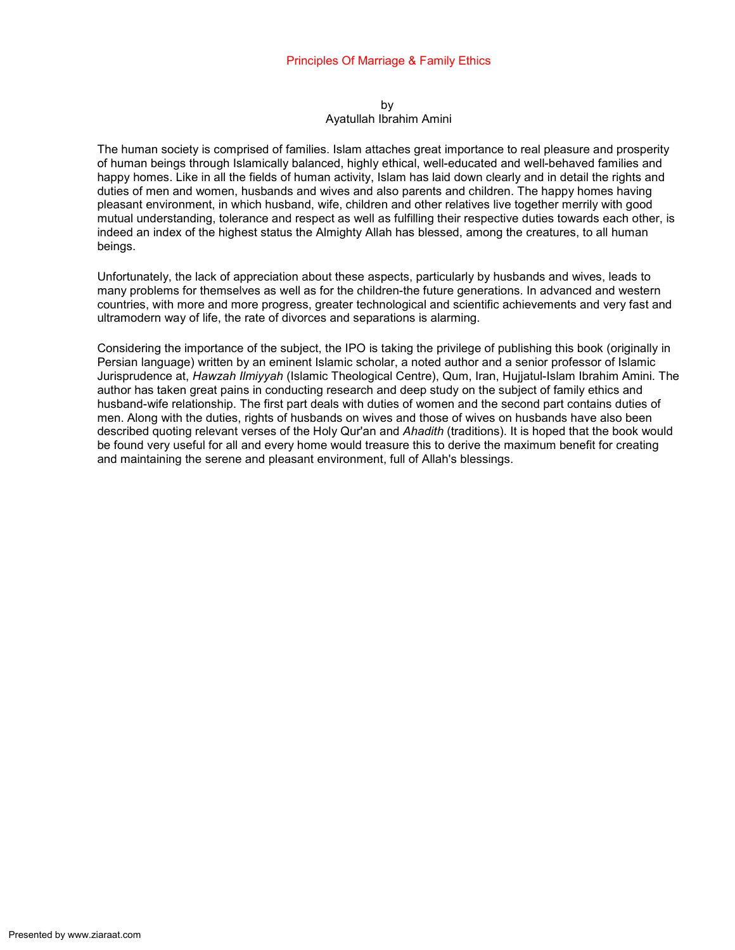#### by Ayatullah Ibrahim Amini

The human society is comprised of families. Islam attaches great importance to real pleasure and prosperity of human beings through Islamically balanced, highly ethical, well-educated and well-behaved families and happy homes. Like in all the fields of human activity, Islam has laid down clearly and in detail the rights and duties of men and women, husbands and wives and also parents and children. The happy homes having pleasant environment, in which husband, wife, children and other relatives live together merrily with good mutual understanding, tolerance and respect as well as fulfilling their respective duties towards each other, is indeed an index of the highest status the Almighty Allah has blessed, among the creatures, to all human beings.

Unfortunately, the lack of appreciation about these aspects, particularly by husbands and wives, leads to many problems for themselves as well as for the children-the future generations. In advanced and western countries, with more and more progress, greater technological and scientific achievements and very fast and ultramodern way of life, the rate of divorces and separations is alarming.

Considering the importance of the subject, the IPO is taking the privilege of publishing this book (originally in Persian language) written by an eminent Islamic scholar, a noted author and a senior professor of Islamic Jurisprudence at, Hawzah Ilmiyyah (Islamic Theological Centre), Qum, Iran, Hujjatul-Islam Ibrahim Amini. The author has taken great pains in conducting research and deep study on the subject of family ethics and husband-wife relationship. The first part deals with duties of women and the second part contains duties of men. Along with the duties, rights of husbands on wives and those of wives on husbands have also been described quoting relevant verses of the Holy Qur'an and Ahadith (traditions). It is hoped that the book would be found very useful for all and every home would treasure this to derive the maximum benefit for creating and maintaining the serene and pleasant environment, full of Allah's blessings.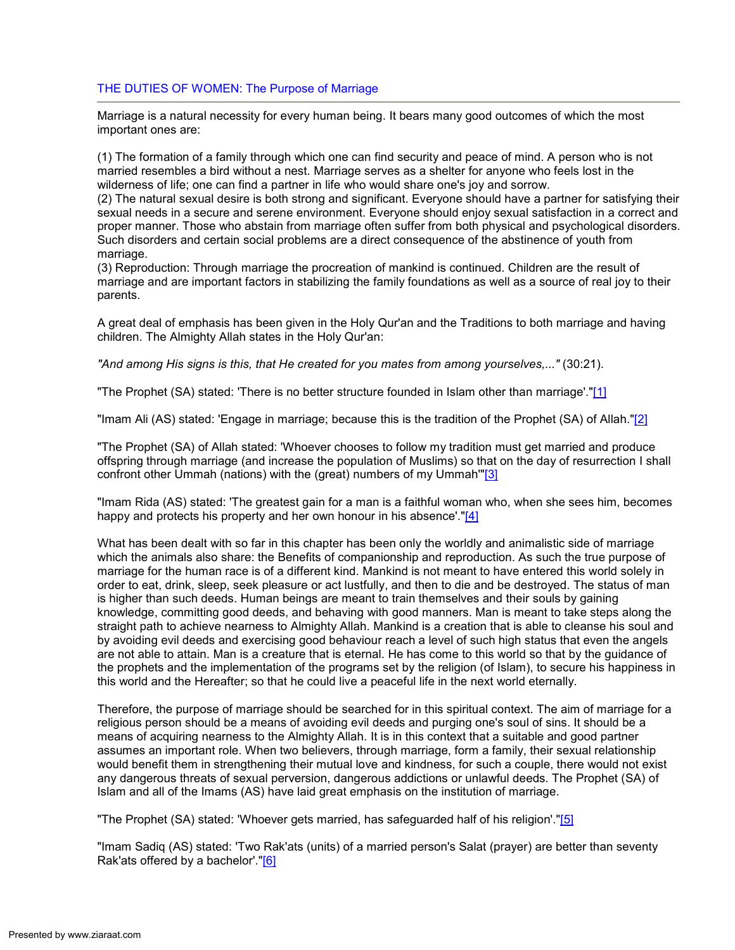# THE DUTIES OF WOMEN: The Purpose of Marriage

Marriage is a natural necessity for every human being. It bears many good outcomes of which the most important ones are:

(1) The formation of a family through which one can find security and peace of mind. A person who is not married resembles a bird without a nest. Marriage serves as a shelter for anyone who feels lost in the wilderness of life; one can find a partner in life who would share one's joy and sorrow.

(2) The natural sexual desire is both strong and significant. Everyone should have a partner for satisfying their sexual needs in a secure and serene environment. Everyone should enjoy sexual satisfaction in a correct and proper manner. Those who abstain from marriage often suffer from both physical and psychological disorders. Such disorders and certain social problems are a direct consequence of the abstinence of youth from marriage.

(3) Reproduction: Through marriage the procreation of mankind is continued. Children are the result of marriage and are important factors in stabilizing the family foundations as well as a source of real joy to their parents.

A great deal of emphasis has been given in the Holy Qur'an and the Traditions to both marriage and having children. The Almighty Allah states in the Holy Qur'an:

"And among His signs is this, that He created for you mates from among yourselves,..." (30:21).

"The Prophet (SA) stated: 'There is no better structure founded in Islam other than marriage'."[1]

"Imam Ali (AS) stated: 'Engage in marriage; because this is the tradition of the Prophet (SA) of Allah."[2]

"The Prophet (SA) of Allah stated: 'Whoever chooses to follow my tradition must get married and produce offspring through marriage (and increase the population of Muslims) so that on the day of resurrection I shall confront other Ummah (nations) with the (great) numbers of my Ummah'"[3]

"Imam Rida (AS) stated: 'The greatest gain for a man is a faithful woman who, when she sees him, becomes happy and protects his property and her own honour in his absence'."[4]

What has been dealt with so far in this chapter has been only the worldly and animalistic side of marriage which the animals also share: the Benefits of companionship and reproduction. As such the true purpose of marriage for the human race is of a different kind. Mankind is not meant to have entered this world solely in order to eat, drink, sleep, seek pleasure or act lustfully, and then to die and be destroyed. The status of man is higher than such deeds. Human beings are meant to train themselves and their souls by gaining knowledge, committing good deeds, and behaving with good manners. Man is meant to take steps along the straight path to achieve nearness to Almighty Allah. Mankind is a creation that is able to cleanse his soul and by avoiding evil deeds and exercising good behaviour reach a level of such high status that even the angels are not able to attain. Man is a creature that is eternal. He has come to this world so that by the guidance of the prophets and the implementation of the programs set by the religion (of Islam), to secure his happiness in this world and the Hereafter; so that he could live a peaceful life in the next world eternally.

Therefore, the purpose of marriage should be searched for in this spiritual context. The aim of marriage for a religious person should be a means of avoiding evil deeds and purging one's soul of sins. It should be a means of acquiring nearness to the Almighty Allah. It is in this context that a suitable and good partner assumes an important role. When two believers, through marriage, form a family, their sexual relationship would benefit them in strengthening their mutual love and kindness, for such a couple, there would not exist any dangerous threats of sexual perversion, dangerous addictions or unlawful deeds. The Prophet (SA) of Islam and all of the Imams (AS) have laid great emphasis on the institution of marriage.

"The Prophet (SA) stated: 'Whoever gets married, has safeguarded half of his religion'."[5]

"Imam Sadiq (AS) stated: 'Two Rak'ats (units) of a married person's Salat (prayer) are better than seventy Rak'ats offered by a bachelor'."[6]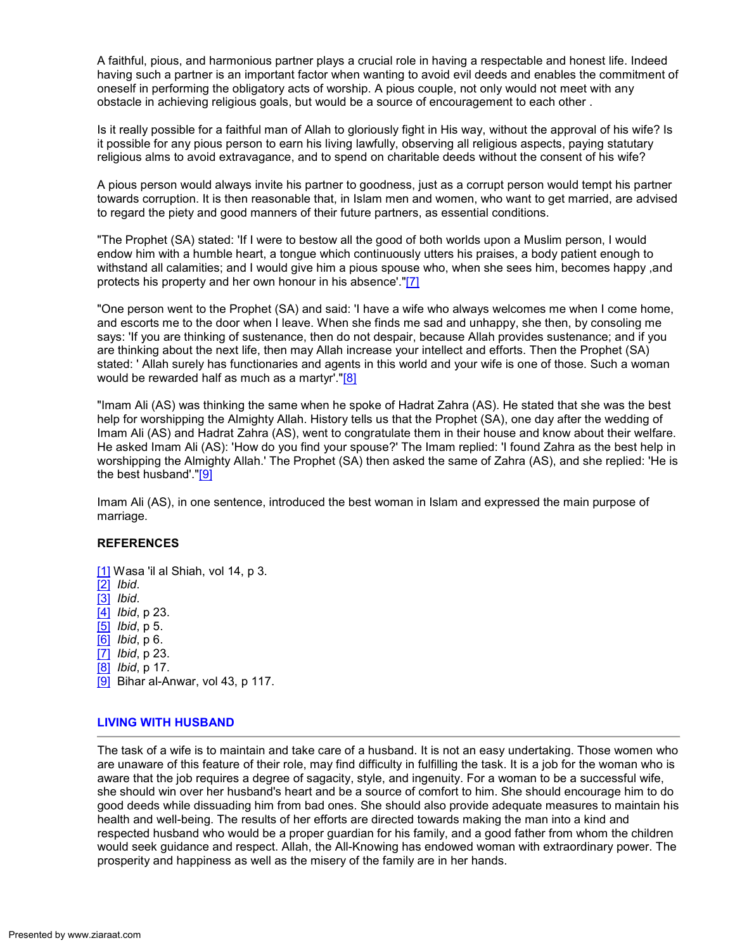A faithful, pious, and harmonious partner plays a crucial role in having a respectable and honest life. Indeed having such a partner is an important factor when wanting to avoid evil deeds and enables the commitment of oneself in performing the obligatory acts of worship. A pious couple, not only would not meet with any obstacle in achieving religious goals, but would be a source of encouragement to each other .

Is it really possible for a faithful man of Allah to gloriously fight in His way, without the approval of his wife? Is it possible for any pious person to earn his living lawfully, observing all religious aspects, paying statutary religious alms to avoid extravagance, and to spend on charitable deeds without the consent of his wife?

A pious person would always invite his partner to goodness, just as a corrupt person would tempt his partner towards corruption. It is then reasonable that, in Islam men and women, who want to get married, are advised to regard the piety and good manners of their future partners, as essential conditions.

"The Prophet (SA) stated: 'If I were to bestow all the good of both worlds upon a Muslim person, I would endow him with a humble heart, a tongue which continuously utters his praises, a body patient enough to withstand all calamities; and I would give him a pious spouse who, when she sees him, becomes happy ,and protects his property and her own honour in his absence'."[7]

"One person went to the Prophet (SA) and said: 'I have a wife who always welcomes me when I come home, and escorts me to the door when I leave. When she finds me sad and unhappy, she then, by consoling me says: 'If you are thinking of sustenance, then do not despair, because Allah provides sustenance; and if you are thinking about the next life, then may Allah increase your intellect and efforts. Then the Prophet (SA) stated: ' Allah surely has functionaries and agents in this world and your wife is one of those. Such a woman would be rewarded half as much as a martyr'."[8]

"Imam Ali (AS) was thinking the same when he spoke of Hadrat Zahra (AS). He stated that she was the best help for worshipping the Almighty Allah. History tells us that the Prophet (SA), one day after the wedding of Imam Ali (AS) and Hadrat Zahra (AS), went to congratulate them in their house and know about their welfare. He asked Imam Ali (AS): 'How do you find your spouse?' The Imam replied: 'I found Zahra as the best help in worshipping the Almighty Allah.' The Prophet (SA) then asked the same of Zahra (AS), and she replied: 'He is the best husband'." $[9]$ 

Imam Ali (AS), in one sentence, introduced the best woman in Islam and expressed the main purpose of marriage.

# REFERENCES

[1] Wasa 'il al Shiah, vol 14, p 3. [2] Ibid. [3] Ibid. [4] *Ibid*, p 23. [5] Ibid, p 5. [6] *Ibid*, p 6. [7] *Ibid*, p 23. [8] Ibid, p 17. [9] Bihar al-Anwar, vol 43, p 117.

# LIVING WITH HUSBAND

The task of a wife is to maintain and take care of a husband. It is not an easy undertaking. Those women who are unaware of this feature of their role, may find difficulty in fulfilling the task. It is a job for the woman who is aware that the job requires a degree of sagacity, style, and ingenuity. For a woman to be a successful wife, she should win over her husband's heart and be a source of comfort to him. She should encourage him to do good deeds while dissuading him from bad ones. She should also provide adequate measures to maintain his health and well-being. The results of her efforts are directed towards making the man into a kind and respected husband who would be a proper guardian for his family, and a good father from whom the children would seek guidance and respect. Allah, the All-Knowing has endowed woman with extraordinary power. The prosperity and happiness as well as the misery of the family are in her hands.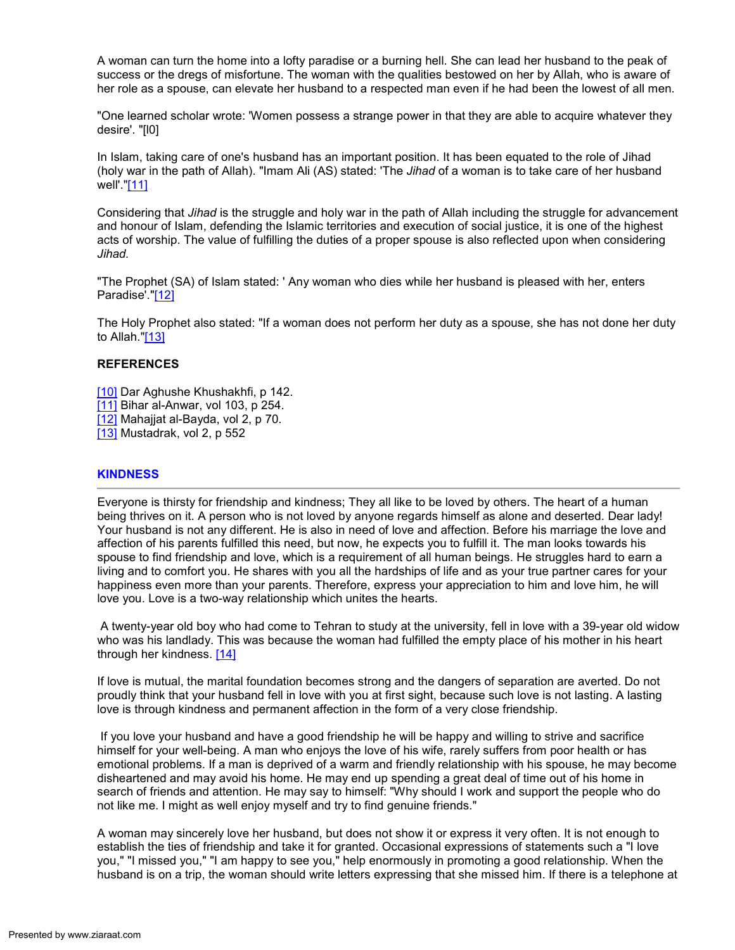A woman can turn the home into a lofty paradise or a burning hell. She can lead her husband to the peak of success or the dregs of misfortune. The woman with the qualities bestowed on her by Allah, who is aware of her role as a spouse, can elevate her husband to a respected man even if he had been the lowest of all men.

"One learned scholar wrote: 'Women possess a strange power in that they are able to acquire whatever they desire'. "[l0]

In Islam, taking care of one's husband has an important position. It has been equated to the role of Jihad (holy war in the path of Allah). "Imam Ali (AS) stated: 'The Jihad of a woman is to take care of her husband well'."[11]

Considering that *Jihad* is the struggle and holy war in the path of Allah including the struggle for advancement and honour of Islam, defending the Islamic territories and execution of social justice, it is one of the highest acts of worship. The value of fulfilling the duties of a proper spouse is also reflected upon when considering Jihad.

"The Prophet (SA) of Islam stated: ' Any woman who dies while her husband is pleased with her, enters Paradise'."[12]

The Holy Prophet also stated: "If a woman does not perform her duty as a spouse, she has not done her duty to Allah."[13]

### **REFERENCES**

- [10] Dar Aghushe Khushakhfi, p 142.
- [11] Bihar al-Anwar, vol 103, p 254.
- [12] Mahajjat al-Bayda, vol 2, p 70.
- [13] Mustadrak, vol 2, p 552

### **KINDNESS**

Everyone is thirsty for friendship and kindness; They all like to be loved by others. The heart of a human being thrives on it. A person who is not loved by anyone regards himself as alone and deserted. Dear lady! Your husband is not any different. He is also in need of love and affection. Before his marriage the love and affection of his parents fulfilled this need, but now, he expects you to fulfill it. The man looks towards his spouse to find friendship and love, which is a requirement of all human beings. He struggles hard to earn a living and to comfort you. He shares with you all the hardships of life and as your true partner cares for your happiness even more than your parents. Therefore, express your appreciation to him and love him, he will love you. Love is a two-way relationship which unites the hearts.

 A twenty-year old boy who had come to Tehran to study at the university, fell in love with a 39-year old widow who was his landlady. This was because the woman had fulfilled the empty place of his mother in his heart through her kindness. [14]

If love is mutual, the marital foundation becomes strong and the dangers of separation are averted. Do not proudly think that your husband fell in love with you at first sight, because such love is not lasting. A lasting love is through kindness and permanent affection in the form of a very close friendship.

 If you love your husband and have a good friendship he will be happy and willing to strive and sacrifice himself for your well-being. A man who enjoys the love of his wife, rarely suffers from poor health or has emotional problems. If a man is deprived of a warm and friendly relationship with his spouse, he may become disheartened and may avoid his home. He may end up spending a great deal of time out of his home in search of friends and attention. He may say to himself: "Why should I work and support the people who do not like me. I might as well enjoy myself and try to find genuine friends."

A woman may sincerely love her husband, but does not show it or express it very often. It is not enough to establish the ties of friendship and take it for granted. Occasional expressions of statements such a "I love you," "I missed you," "I am happy to see you," help enormously in promoting a good relationship. When the husband is on a trip, the woman should write letters expressing that she missed him. If there is a telephone at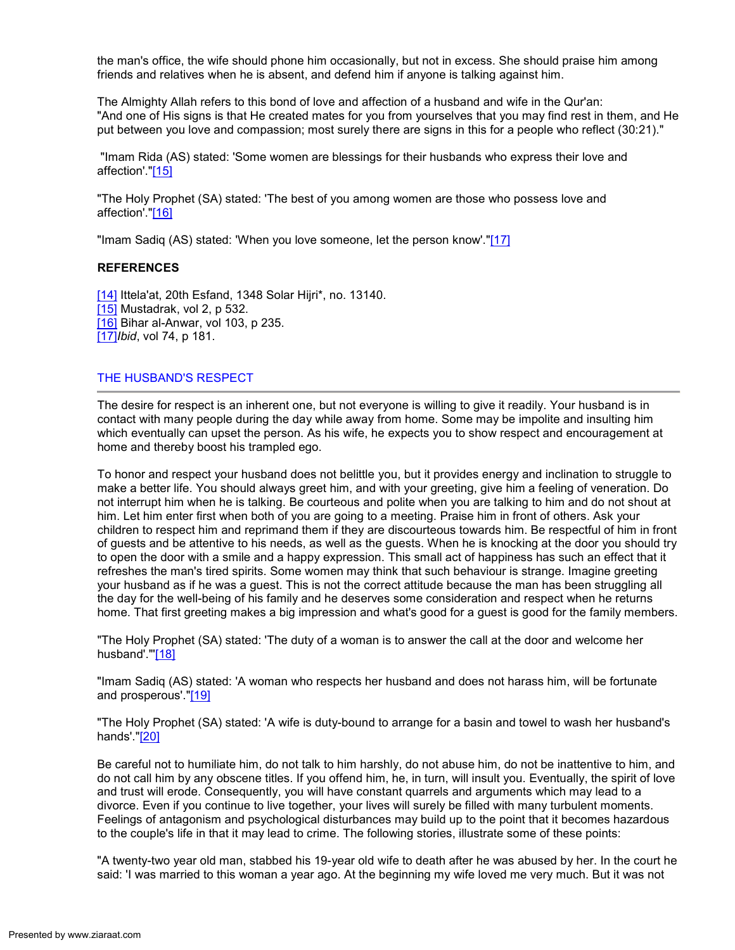the man's office, the wife should phone him occasionally, but not in excess. She should praise him among friends and relatives when he is absent, and defend him if anyone is talking against him.

The Almighty Allah refers to this bond of love and affection of a husband and wife in the Qur'an: "And one of His signs is that He created mates for you from yourselves that you may find rest in them, and He put between you love and compassion; most surely there are signs in this for a people who reflect (30:21)."

 "Imam Rida (AS) stated: 'Some women are blessings for their husbands who express their love and affection'."[15]

"The Holy Prophet (SA) stated: 'The best of you among women are those who possess love and affection'."[16]

"Imam Sadiq (AS) stated: 'When you love someone, let the person know'."[17]

# REFERENCES

[14] Ittela'at, 20th Esfand, 1348 Solar Hijri\*, no. 13140. [15] Mustadrak, vol 2, p 532. [16] Bihar al-Anwar, vol 103, p 235. [17]*Ibid*, vol 74, p 181.

### THE HUSBAND'S RESPECT

The desire for respect is an inherent one, but not everyone is willing to give it readily. Your husband is in contact with many people during the day while away from home. Some may be impolite and insulting him which eventually can upset the person. As his wife, he expects you to show respect and encouragement at home and thereby boost his trampled ego.

To honor and respect your husband does not belittle you, but it provides energy and inclination to struggle to make a better life. You should always greet him, and with your greeting, give him a feeling of veneration. Do not interrupt him when he is talking. Be courteous and polite when you are talking to him and do not shout at him. Let him enter first when both of you are going to a meeting. Praise him in front of others. Ask your children to respect him and reprimand them if they are discourteous towards him. Be respectful of him in front of guests and be attentive to his needs, as well as the guests. When he is knocking at the door you should try to open the door with a smile and a happy expression. This small act of happiness has such an effect that it refreshes the man's tired spirits. Some women may think that such behaviour is strange. Imagine greeting your husband as if he was a guest. This is not the correct attitude because the man has been struggling all the day for the well-being of his family and he deserves some consideration and respect when he returns home. That first greeting makes a big impression and what's good for a guest is good for the family members.

"The Holy Prophet (SA) stated: 'The duty of a woman is to answer the call at the door and welcome her husband'."[18]

"Imam Sadiq (AS) stated: 'A woman who respects her husband and does not harass him, will be fortunate and prosperous'."[19]

"The Holy Prophet (SA) stated: 'A wife is duty-bound to arrange for a basin and towel to wash her husband's hands'."[20]

Be careful not to humiliate him, do not talk to him harshly, do not abuse him, do not be inattentive to him, and do not call him by any obscene titles. If you offend him, he, in turn, will insult you. Eventually, the spirit of love and trust will erode. Consequently, you will have constant quarrels and arguments which may lead to a divorce. Even if you continue to live together, your lives will surely be filled with many turbulent moments. Feelings of antagonism and psychological disturbances may build up to the point that it becomes hazardous to the couple's life in that it may lead to crime. The following stories, illustrate some of these points:

"A twenty-two year old man, stabbed his 19-year old wife to death after he was abused by her. In the court he said: 'I was married to this woman a year ago. At the beginning my wife loved me very much. But it was not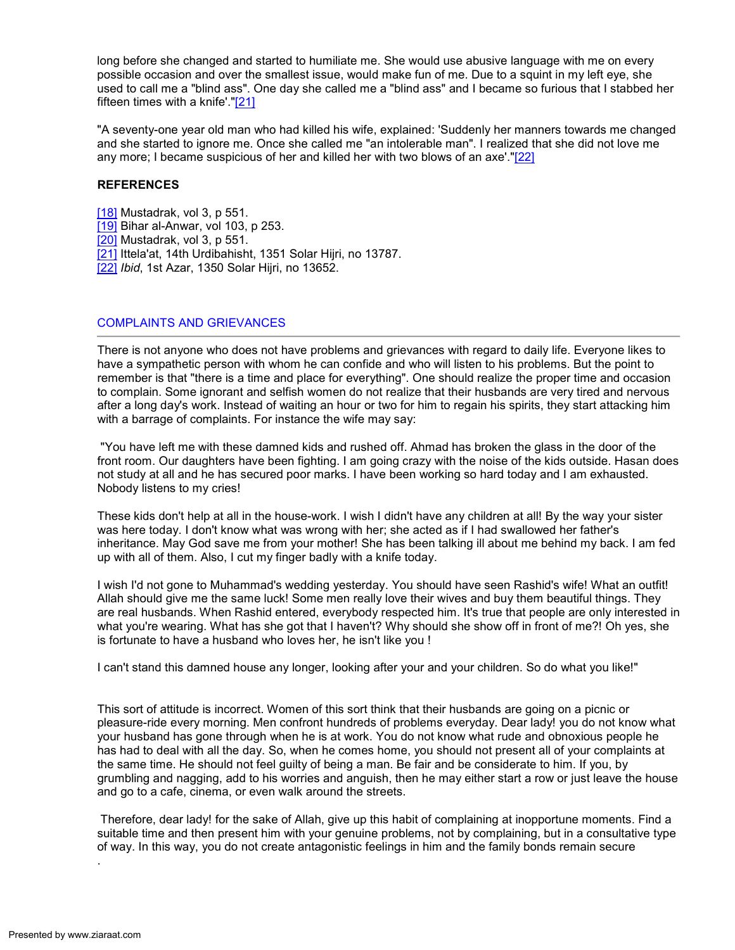long before she changed and started to humiliate me. She would use abusive language with me on every possible occasion and over the smallest issue, would make fun of me. Due to a squint in my left eye, she used to call me a "blind ass". One day she called me a "blind ass" and I became so furious that I stabbed her fifteen times with a knife'."[21]

"A seventy-one year old man who had killed his wife, explained: 'Suddenly her manners towards me changed and she started to ignore me. Once she called me "an intolerable man". I realized that she did not love me any more; I became suspicious of her and killed her with two blows of an axe'."[22]

### **REFERENCES**

- [18] Mustadrak, vol 3, p 551.
- [19] Bihar al-Anwar, vol 103, p 253.
- [20] Mustadrak, vol 3, p 551.
- [21] Ittela'at, 14th Urdibahisht, 1351 Solar Hijri, no 13787.
- [22] Ibid, 1st Azar, 1350 Solar Hijri, no 13652.

### COMPLAINTS AND GRIEVANCES

There is not anyone who does not have problems and grievances with regard to daily life. Everyone likes to have a sympathetic person with whom he can confide and who will listen to his problems. But the point to remember is that "there is a time and place for everything". One should realize the proper time and occasion to complain. Some ignorant and selfish women do not realize that their husbands are very tired and nervous after a long day's work. Instead of waiting an hour or two for him to regain his spirits, they start attacking him with a barrage of complaints. For instance the wife may say:

 "You have left me with these damned kids and rushed off. Ahmad has broken the glass in the door of the front room. Our daughters have been fighting. I am going crazy with the noise of the kids outside. Hasan does not study at all and he has secured poor marks. I have been working so hard today and I am exhausted. Nobody listens to my cries!

These kids don't help at all in the house-work. I wish I didn't have any children at all! By the way your sister was here today. I don't know what was wrong with her; she acted as if I had swallowed her father's inheritance. May God save me from your mother! She has been talking ill about me behind my back. I am fed up with all of them. Also, I cut my finger badly with a knife today.

I wish I'd not gone to Muhammad's wedding yesterday. You should have seen Rashid's wife! What an outfit! Allah should give me the same luck! Some men really love their wives and buy them beautiful things. They are real husbands. When Rashid entered, everybody respected him. It's true that people are only interested in what you're wearing. What has she got that I haven't? Why should she show off in front of me?! Oh yes, she is fortunate to have a husband who loves her, he isn't like you !

I can't stand this damned house any longer, looking after your and your children. So do what you like!"

This sort of attitude is incorrect. Women of this sort think that their husbands are going on a picnic or pleasure-ride every morning. Men confront hundreds of problems everyday. Dear lady! you do not know what your husband has gone through when he is at work. You do not know what rude and obnoxious people he has had to deal with all the day. So, when he comes home, you should not present all of your complaints at the same time. He should not feel guilty of being a man. Be fair and be considerate to him. If you, by grumbling and nagging, add to his worries and anguish, then he may either start a row or just leave the house and go to a cafe, cinema, or even walk around the streets.

 Therefore, dear lady! for the sake of Allah, give up this habit of complaining at inopportune moments. Find a suitable time and then present him with your genuine problems, not by complaining, but in a consultative type of way. In this way, you do not create antagonistic feelings in him and the family bonds remain secure

.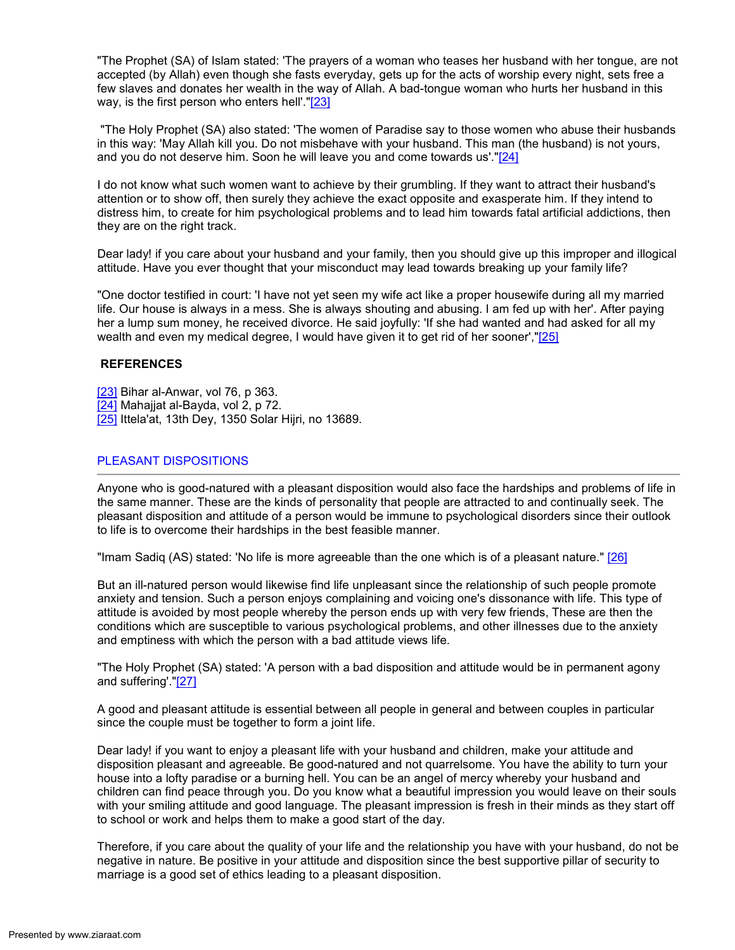"The Prophet (SA) of Islam stated: 'The prayers of a woman who teases her husband with her tongue, are not accepted (by Allah) even though she fasts everyday, gets up for the acts of worship every night, sets free a few slaves and donates her wealth in the way of Allah. A bad-tongue woman who hurts her husband in this way, is the first person who enters hell'."[23]

 "The Holy Prophet (SA) also stated: 'The women of Paradise say to those women who abuse their husbands in this way: 'May Allah kill you. Do not misbehave with your husband. This man (the husband) is not yours, and you do not deserve him. Soon he will leave you and come towards us'."[24]

I do not know what such women want to achieve by their grumbling. If they want to attract their husband's attention or to show off, then surely they achieve the exact opposite and exasperate him. If they intend to distress him, to create for him psychological problems and to lead him towards fatal artificial addictions, then they are on the right track.

Dear lady! if you care about your husband and your family, then you should give up this improper and illogical attitude. Have you ever thought that your misconduct may lead towards breaking up your family life?

"One doctor testified in court: 'I have not yet seen my wife act like a proper housewife during all my married life. Our house is always in a mess. She is always shouting and abusing. I am fed up with her'. After paying her a lump sum money, he received divorce. He said joyfully: 'If she had wanted and had asked for all my wealth and even my medical degree, I would have given it to get rid of her sooner',"[25]

### **REFERENCES**

- [23] Bihar al-Anwar, vol 76, p 363.
- [24] Mahajjat al-Bayda, vol 2, p 72.
- [25] Ittela'at, 13th Dey, 1350 Solar Hijri, no 13689.

# PLEASANT DISPOSITIONS

Anyone who is good-natured with a pleasant disposition would also face the hardships and problems of life in the same manner. These are the kinds of personality that people are attracted to and continually seek. The pleasant disposition and attitude of a person would be immune to psychological disorders since their outlook to life is to overcome their hardships in the best feasible manner.

"Imam Sadiq (AS) stated: 'No life is more agreeable than the one which is of a pleasant nature." [26]

But an ill-natured person would likewise find life unpleasant since the relationship of such people promote anxiety and tension. Such a person enjoys complaining and voicing one's dissonance with life. This type of attitude is avoided by most people whereby the person ends up with very few friends, These are then the conditions which are susceptible to various psychological problems, and other illnesses due to the anxiety and emptiness with which the person with a bad attitude views life.

"The Holy Prophet (SA) stated: 'A person with a bad disposition and attitude would be in permanent agony and suffering'."[27]

A good and pleasant attitude is essential between all people in general and between couples in particular since the couple must be together to form a joint life.

Dear lady! if you want to enjoy a pleasant life with your husband and children, make your attitude and disposition pleasant and agreeable. Be good-natured and not quarrelsome. You have the ability to turn your house into a lofty paradise or a burning hell. You can be an angel of mercy whereby your husband and children can find peace through you. Do you know what a beautiful impression you would leave on their souls with your smiling attitude and good language. The pleasant impression is fresh in their minds as they start off to school or work and helps them to make a good start of the day.

Therefore, if you care about the quality of your life and the relationship you have with your husband, do not be negative in nature. Be positive in your attitude and disposition since the best supportive pillar of security to marriage is a good set of ethics leading to a pleasant disposition.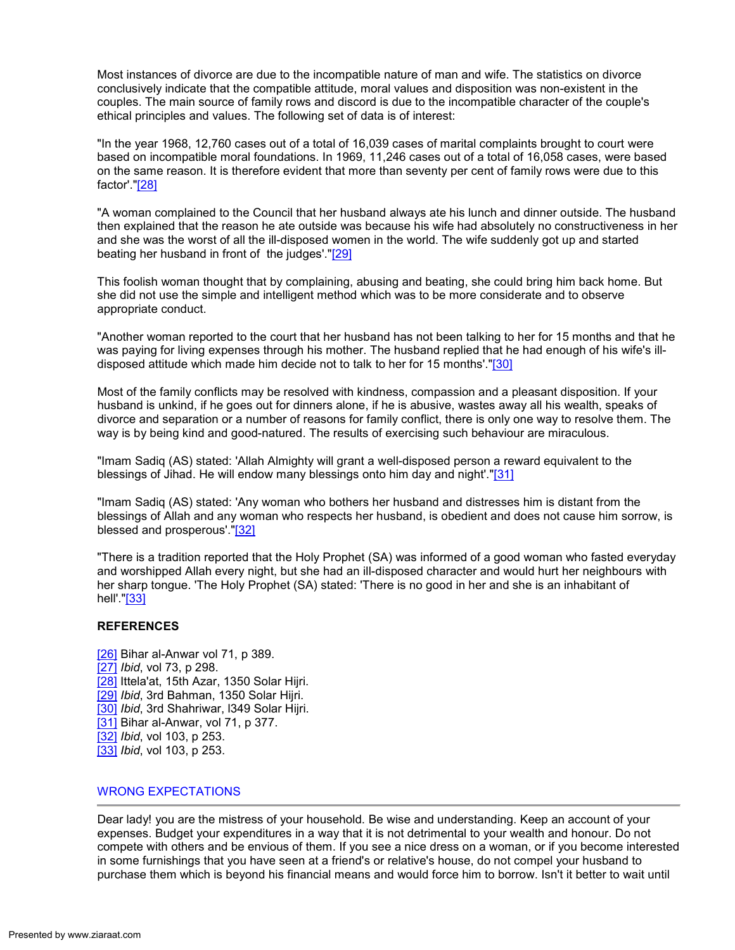Most instances of divorce are due to the incompatible nature of man and wife. The statistics on divorce conclusively indicate that the compatible attitude, moral values and disposition was non-existent in the couples. The main source of family rows and discord is due to the incompatible character of the couple's ethical principles and values. The following set of data is of interest:

"In the year 1968, 12,760 cases out of a total of 16,039 cases of marital complaints brought to court were based on incompatible moral foundations. In 1969, 11,246 cases out of a total of 16,058 cases, were based on the same reason. It is therefore evident that more than seventy per cent of family rows were due to this factor'."[28]

"A woman complained to the Council that her husband always ate his lunch and dinner outside. The husband then explained that the reason he ate outside was because his wife had absolutely no constructiveness in her and she was the worst of all the ill-disposed women in the world. The wife suddenly got up and started beating her husband in front of the judges'."[29]

This foolish woman thought that by complaining, abusing and beating, she could bring him back home. But she did not use the simple and intelligent method which was to be more considerate and to observe appropriate conduct.

"Another woman reported to the court that her husband has not been talking to her for 15 months and that he was paying for living expenses through his mother. The husband replied that he had enough of his wife's illdisposed attitude which made him decide not to talk to her for 15 months'."[30]

Most of the family conflicts may be resolved with kindness, compassion and a pleasant disposition. If your husband is unkind, if he goes out for dinners alone, if he is abusive, wastes away all his wealth, speaks of divorce and separation or a number of reasons for family conflict, there is only one way to resolve them. The way is by being kind and good-natured. The results of exercising such behaviour are miraculous.

"Imam Sadiq (AS) stated: 'Allah Almighty will grant a well-disposed person a reward equivalent to the blessings of Jihad. He will endow many blessings onto him day and night'."[31]

"Imam Sadiq (AS) stated: 'Any woman who bothers her husband and distresses him is distant from the blessings of Allah and any woman who respects her husband, is obedient and does not cause him sorrow, is blessed and prosperous'."[32]

"There is a tradition reported that the Holy Prophet (SA) was informed of a good woman who fasted everyday and worshipped Allah every night, but she had an ill-disposed character and would hurt her neighbours with her sharp tongue. 'The Holy Prophet (SA) stated: 'There is no good in her and she is an inhabitant of hell'."[33]

# **REFERENCES**

[26] Bihar al-Anwar vol 71, p 389. [27] *Ibid*, vol 73, p 298. [28] Ittela'at, 15th Azar, 1350 Solar Hiiri. [29] Ibid, 3rd Bahman, 1350 Solar Hijri. [30] Ibid, 3rd Shahriwar, I349 Solar Hijri. [31] Bihar al-Anwar, vol 71, p 377. [32] Ibid, vol 103, p 253. [33] *Ibid*, vol 103, p 253.

# WRONG EXPECTATIONS

Dear lady! you are the mistress of your household. Be wise and understanding. Keep an account of your expenses. Budget your expenditures in a way that it is not detrimental to your wealth and honour. Do not compete with others and be envious of them. If you see a nice dress on a woman, or if you become interested in some furnishings that you have seen at a friend's or relative's house, do not compel your husband to purchase them which is beyond his financial means and would force him to borrow. Isn't it better to wait until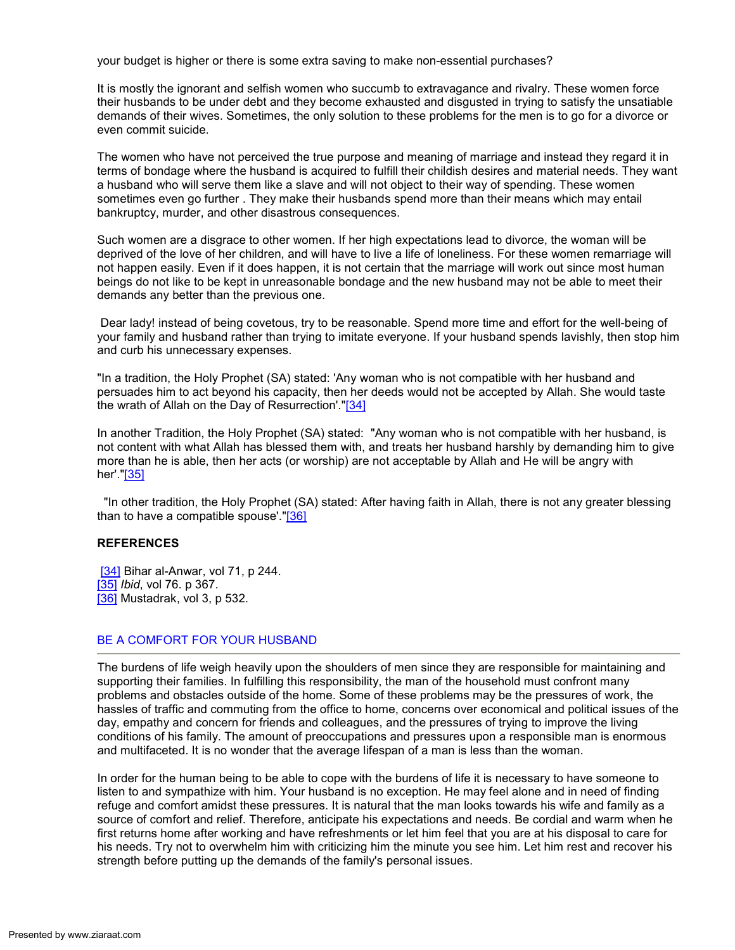your budget is higher or there is some extra saving to make non-essential purchases?

It is mostly the ignorant and selfish women who succumb to extravagance and rivalry. These women force their husbands to be under debt and they become exhausted and disgusted in trying to satisfy the unsatiable demands of their wives. Sometimes, the only solution to these problems for the men is to go for a divorce or even commit suicide.

The women who have not perceived the true purpose and meaning of marriage and instead they regard it in terms of bondage where the husband is acquired to fulfill their childish desires and material needs. They want a husband who will serve them like a slave and will not object to their way of spending. These women sometimes even go further . They make their husbands spend more than their means which may entail bankruptcy, murder, and other disastrous consequences.

Such women are a disgrace to other women. If her high expectations lead to divorce, the woman will be deprived of the love of her children, and will have to live a life of loneliness. For these women remarriage will not happen easily. Even if it does happen, it is not certain that the marriage will work out since most human beings do not like to be kept in unreasonable bondage and the new husband may not be able to meet their demands any better than the previous one.

 Dear lady! instead of being covetous, try to be reasonable. Spend more time and effort for the well-being of your family and husband rather than trying to imitate everyone. If your husband spends lavishly, then stop him and curb his unnecessary expenses.

"In a tradition, the Holy Prophet (SA) stated: 'Any woman who is not compatible with her husband and persuades him to act beyond his capacity, then her deeds would not be accepted by Allah. She would taste the wrath of Allah on the Day of Resurrection'."[34]

In another Tradition, the Holy Prophet (SA) stated: "Any woman who is not compatible with her husband, is not content with what Allah has blessed them with, and treats her husband harshly by demanding him to give more than he is able, then her acts (or worship) are not acceptable by Allah and He will be angry with her'."[35]

 "In other tradition, the Holy Prophet (SA) stated: After having faith in Allah, there is not any greater blessing than to have a compatible spouse'."[36]

### REFERENCES

[34] Bihar al-Anwar, vol 71, p 244. [35] *Ibid*, vol 76. p 367. [36] Mustadrak, vol 3, p 532.

#### BE A COMFORT FOR YOUR HUSBAND

The burdens of life weigh heavily upon the shoulders of men since they are responsible for maintaining and supporting their families. In fulfilling this responsibility, the man of the household must confront many problems and obstacles outside of the home. Some of these problems may be the pressures of work, the hassles of traffic and commuting from the office to home, concerns over economical and political issues of the day, empathy and concern for friends and colleagues, and the pressures of trying to improve the living conditions of his family. The amount of preoccupations and pressures upon a responsible man is enormous and multifaceted. It is no wonder that the average lifespan of a man is less than the woman.

In order for the human being to be able to cope with the burdens of life it is necessary to have someone to listen to and sympathize with him. Your husband is no exception. He may feel alone and in need of finding refuge and comfort amidst these pressures. It is natural that the man looks towards his wife and family as a source of comfort and relief. Therefore, anticipate his expectations and needs. Be cordial and warm when he first returns home after working and have refreshments or let him feel that you are at his disposal to care for his needs. Try not to overwhelm him with criticizing him the minute you see him. Let him rest and recover his strength before putting up the demands of the family's personal issues.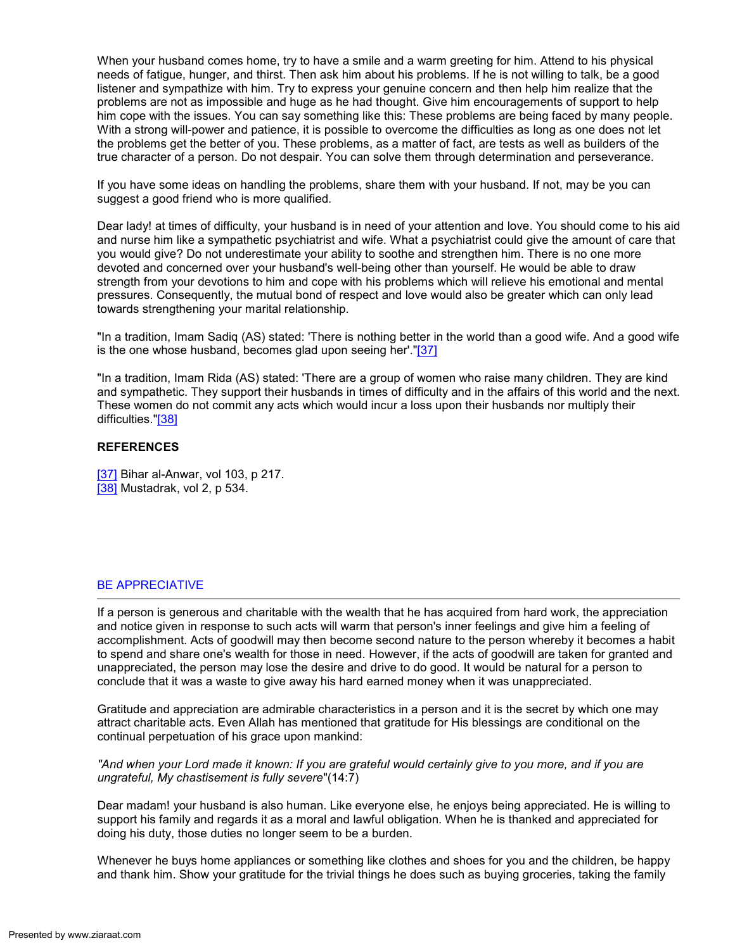When your husband comes home, try to have a smile and a warm greeting for him. Attend to his physical needs of fatigue, hunger, and thirst. Then ask him about his problems. If he is not willing to talk, be a good listener and sympathize with him. Try to express your genuine concern and then help him realize that the problems are not as impossible and huge as he had thought. Give him encouragements of support to help him cope with the issues. You can say something like this: These problems are being faced by many people. With a strong will-power and patience, it is possible to overcome the difficulties as long as one does not let the problems get the better of you. These problems, as a matter of fact, are tests as well as builders of the true character of a person. Do not despair. You can solve them through determination and perseverance.

If you have some ideas on handling the problems, share them with your husband. If not, may be you can suggest a good friend who is more qualified.

Dear lady! at times of difficulty, your husband is in need of your attention and love. You should come to his aid and nurse him like a sympathetic psychiatrist and wife. What a psychiatrist could give the amount of care that you would give? Do not underestimate your ability to soothe and strengthen him. There is no one more devoted and concerned over your husband's well-being other than yourself. He would be able to draw strength from your devotions to him and cope with his problems which will relieve his emotional and mental pressures. Consequently, the mutual bond of respect and love would also be greater which can only lead towards strengthening your marital relationship.

"In a tradition, Imam Sadiq (AS) stated: 'There is nothing better in the world than a good wife. And a good wife is the one whose husband, becomes glad upon seeing her'."[37]

"In a tradition, Imam Rida (AS) stated: 'There are a group of women who raise many children. They are kind and sympathetic. They support their husbands in times of difficulty and in the affairs of this world and the next. These women do not commit any acts which would incur a loss upon their husbands nor multiply their difficulties."[38]

### **REFERENCES**

[37] Bihar al-Anwar, vol 103, p 217. [38] Mustadrak, vol 2, p 534.

# BE APPRECIATIVE

If a person is generous and charitable with the wealth that he has acquired from hard work, the appreciation and notice given in response to such acts will warm that person's inner feelings and give him a feeling of accomplishment. Acts of goodwill may then become second nature to the person whereby it becomes a habit to spend and share one's wealth for those in need. However, if the acts of goodwill are taken for granted and unappreciated, the person may lose the desire and drive to do good. It would be natural for a person to conclude that it was a waste to give away his hard earned money when it was unappreciated.

Gratitude and appreciation are admirable characteristics in a person and it is the secret by which one may attract charitable acts. Even Allah has mentioned that gratitude for His blessings are conditional on the continual perpetuation of his grace upon mankind:

"And when your Lord made it known: If you are grateful would certainly give to you more, and if you are ungrateful, My chastisement is fully severe"(14:7)

Dear madam! your husband is also human. Like everyone else, he enjoys being appreciated. He is willing to support his family and regards it as a moral and lawful obligation. When he is thanked and appreciated for doing his duty, those duties no longer seem to be a burden.

Whenever he buys home appliances or something like clothes and shoes for you and the children, be happy and thank him. Show your gratitude for the trivial things he does such as buying groceries, taking the family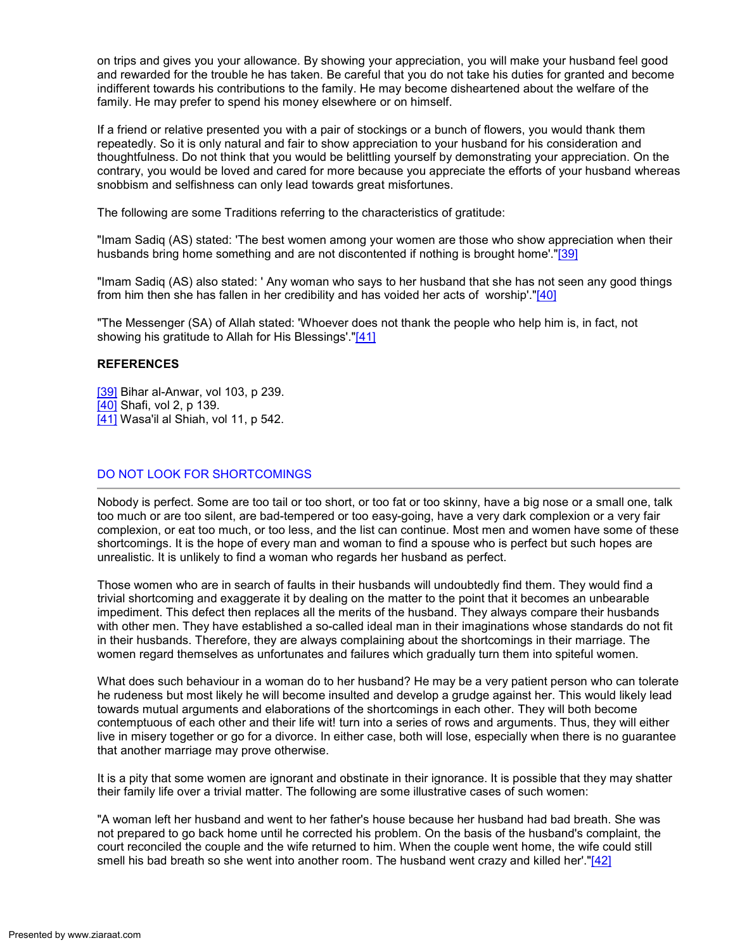on trips and gives you your allowance. By showing your appreciation, you will make your husband feel good and rewarded for the trouble he has taken. Be careful that you do not take his duties for granted and become indifferent towards his contributions to the family. He may become disheartened about the welfare of the family. He may prefer to spend his money elsewhere or on himself.

If a friend or relative presented you with a pair of stockings or a bunch of flowers, you would thank them repeatedly. So it is only natural and fair to show appreciation to your husband for his consideration and thoughtfulness. Do not think that you would be belittling yourself by demonstrating your appreciation. On the contrary, you would be loved and cared for more because you appreciate the efforts of your husband whereas snobbism and selfishness can only lead towards great misfortunes.

The following are some Traditions referring to the characteristics of gratitude:

"Imam Sadiq (AS) stated: 'The best women among your women are those who show appreciation when their husbands bring home something and are not discontented if nothing is brought home'."[39]

"Imam Sadiq (AS) also stated: ' Any woman who says to her husband that she has not seen any good things from him then she has fallen in her credibility and has voided her acts of worship'."[40]

"The Messenger (SA) of Allah stated: 'Whoever does not thank the people who help him is, in fact, not showing his gratitude to Allah for His Blessings'."[41]

### REFERENCES

[39] Bihar al-Anwar, vol 103, p 239. [40] Shafi, vol 2, p 139. [41] Wasa'il al Shiah, vol 11, p 542.

# DO NOT LOOK FOR SHORTCOMINGS

Nobody is perfect. Some are too tail or too short, or too fat or too skinny, have a big nose or a small one, talk too much or are too silent, are bad-tempered or too easy-going, have a very dark complexion or a very fair complexion, or eat too much, or too less, and the list can continue. Most men and women have some of these shortcomings. It is the hope of every man and woman to find a spouse who is perfect but such hopes are unrealistic. It is unlikely to find a woman who regards her husband as perfect.

Those women who are in search of faults in their husbands will undoubtedly find them. They would find a trivial shortcoming and exaggerate it by dealing on the matter to the point that it becomes an unbearable impediment. This defect then replaces all the merits of the husband. They always compare their husbands with other men. They have established a so-called ideal man in their imaginations whose standards do not fit in their husbands. Therefore, they are always complaining about the shortcomings in their marriage. The women regard themselves as unfortunates and failures which gradually turn them into spiteful women.

What does such behaviour in a woman do to her husband? He may be a very patient person who can tolerate he rudeness but most likely he will become insulted and develop a grudge against her. This would likely lead towards mutual arguments and elaborations of the shortcomings in each other. They will both become contemptuous of each other and their life wit! turn into a series of rows and arguments. Thus, they will either live in misery together or go for a divorce. In either case, both will lose, especially when there is no guarantee that another marriage may prove otherwise.

It is a pity that some women are ignorant and obstinate in their ignorance. It is possible that they may shatter their family life over a trivial matter. The following are some illustrative cases of such women:

"A woman left her husband and went to her father's house because her husband had bad breath. She was not prepared to go back home until he corrected his problem. On the basis of the husband's complaint, the court reconciled the couple and the wife returned to him. When the couple went home, the wife could still smell his bad breath so she went into another room. The husband went crazy and killed her'."[42]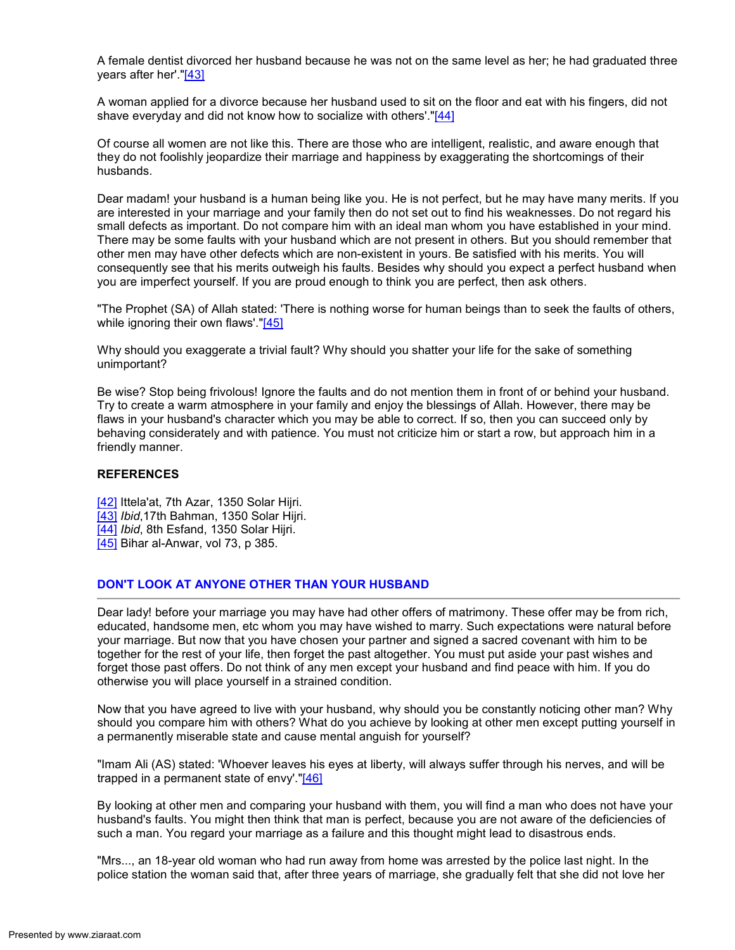A female dentist divorced her husband because he was not on the same level as her; he had graduated three years after her'."[43]

A woman applied for a divorce because her husband used to sit on the floor and eat with his fingers, did not shave everyday and did not know how to socialize with others'."[44]

Of course all women are not like this. There are those who are intelligent, realistic, and aware enough that they do not foolishly jeopardize their marriage and happiness by exaggerating the shortcomings of their husbands.

Dear madam! your husband is a human being like you. He is not perfect, but he may have many merits. If you are interested in your marriage and your family then do not set out to find his weaknesses. Do not regard his small defects as important. Do not compare him with an ideal man whom you have established in your mind. There may be some faults with your husband which are not present in others. But you should remember that other men may have other defects which are non-existent in yours. Be satisfied with his merits. You will consequently see that his merits outweigh his faults. Besides why should you expect a perfect husband when you are imperfect yourself. If you are proud enough to think you are perfect, then ask others.

"The Prophet (SA) of Allah stated: 'There is nothing worse for human beings than to seek the faults of others, while ignoring their own flaws'."[45]

Why should you exaggerate a trivial fault? Why should you shatter your life for the sake of something unimportant?

Be wise? Stop being frivolous! Ignore the faults and do not mention them in front of or behind your husband. Try to create a warm atmosphere in your family and enjoy the blessings of Allah. However, there may be flaws in your husband's character which you may be able to correct. If so, then you can succeed only by behaving considerately and with patience. You must not criticize him or start a row, but approach him in a friendly manner.

# **REFERENCES**

- [42] Ittela'at, 7th Azar, 1350 Solar Hijri.
- [43] Ibid, 17th Bahman, 1350 Solar Hijri.
- [44] Ibid, 8th Esfand, 1350 Solar Hijri.
- [45] Bihar al-Anwar, vol 73, p 385.

# DON'T LOOK AT ANYONE OTHER THAN YOUR HUSBAND

Dear lady! before your marriage you may have had other offers of matrimony. These offer may be from rich, educated, handsome men, etc whom you may have wished to marry. Such expectations were natural before your marriage. But now that you have chosen your partner and signed a sacred covenant with him to be together for the rest of your life, then forget the past altogether. You must put aside your past wishes and forget those past offers. Do not think of any men except your husband and find peace with him. If you do otherwise you will place yourself in a strained condition.

Now that you have agreed to live with your husband, why should you be constantly noticing other man? Why should you compare him with others? What do you achieve by looking at other men except putting yourself in a permanently miserable state and cause mental anguish for yourself?

"Imam Ali (AS) stated: 'Whoever leaves his eyes at liberty, will always suffer through his nerves, and will be trapped in a permanent state of envy'."[46]

By looking at other men and comparing your husband with them, you will find a man who does not have your husband's faults. You might then think that man is perfect, because you are not aware of the deficiencies of such a man. You regard your marriage as a failure and this thought might lead to disastrous ends.

"Mrs..., an 18-year old woman who had run away from home was arrested by the police last night. In the police station the woman said that, after three years of marriage, she gradually felt that she did not love her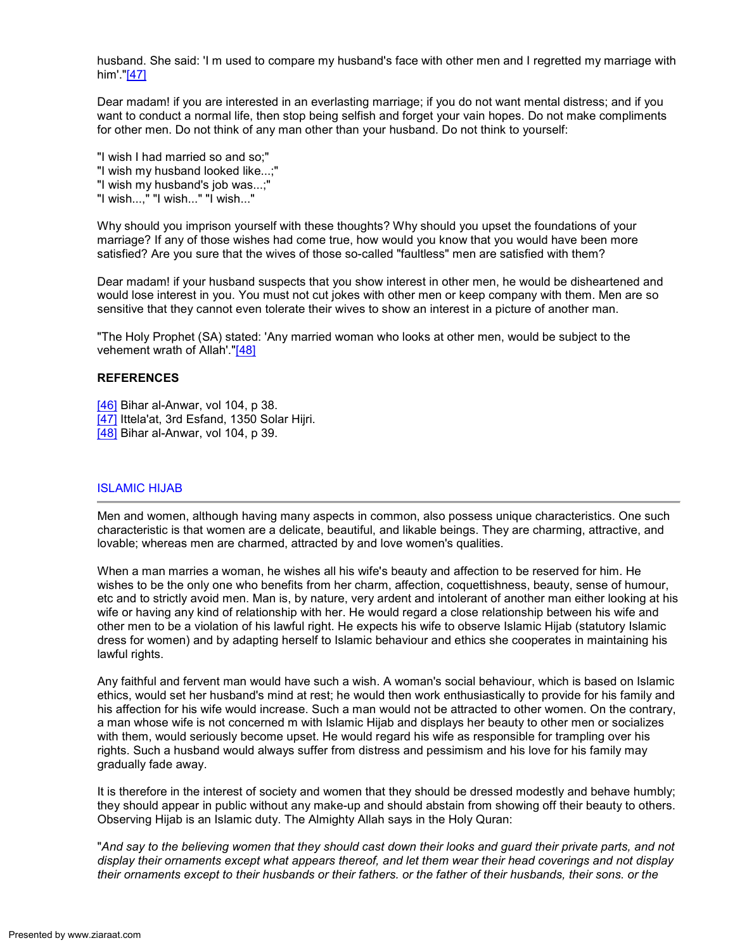husband. She said: 'I m used to compare my husband's face with other men and I regretted my marriage with him'."[47]

Dear madam! if you are interested in an everlasting marriage; if you do not want mental distress; and if you want to conduct a normal life, then stop being selfish and forget your vain hopes. Do not make compliments for other men. Do not think of any man other than your husband. Do not think to yourself:

"I wish I had married so and so;" "I wish my husband looked like...;" "I wish my husband's job was...;" "I wish...," "I wish..." "I wish..."

Why should you imprison yourself with these thoughts? Why should you upset the foundations of your marriage? If any of those wishes had come true, how would you know that you would have been more satisfied? Are you sure that the wives of those so-called "faultless" men are satisfied with them?

Dear madam! if your husband suspects that you show interest in other men, he would be disheartened and would lose interest in you. You must not cut jokes with other men or keep company with them. Men are so sensitive that they cannot even tolerate their wives to show an interest in a picture of another man.

"The Holy Prophet (SA) stated: 'Any married woman who looks at other men, would be subject to the vehement wrath of Allah'."[48]

### **REFERENCES**

- [46] Bihar al-Anwar, vol 104, p 38.
- [47] Ittela'at, 3rd Esfand, 1350 Solar Hijri.
- [48] Bihar al-Anwar, vol 104, p 39.

# ISLAMIC HIJAB

Men and women, although having many aspects in common, also possess unique characteristics. One such characteristic is that women are a delicate, beautiful, and likable beings. They are charming, attractive, and lovable; whereas men are charmed, attracted by and love women's qualities.

When a man marries a woman, he wishes all his wife's beauty and affection to be reserved for him. He wishes to be the only one who benefits from her charm, affection, coquettishness, beauty, sense of humour, etc and to strictly avoid men. Man is, by nature, very ardent and intolerant of another man either looking at his wife or having any kind of relationship with her. He would regard a close relationship between his wife and other men to be a violation of his lawful right. He expects his wife to observe Islamic Hijab (statutory Islamic dress for women) and by adapting herself to Islamic behaviour and ethics she cooperates in maintaining his lawful rights.

Any faithful and fervent man would have such a wish. A woman's social behaviour, which is based on Islamic ethics, would set her husband's mind at rest; he would then work enthusiastically to provide for his family and his affection for his wife would increase. Such a man would not be attracted to other women. On the contrary, a man whose wife is not concerned m with Islamic Hijab and displays her beauty to other men or socializes with them, would seriously become upset. He would regard his wife as responsible for trampling over his rights. Such a husband would always suffer from distress and pessimism and his love for his family may gradually fade away.

It is therefore in the interest of society and women that they should be dressed modestly and behave humbly; they should appear in public without any make-up and should abstain from showing off their beauty to others. Observing Hijab is an Islamic duty. The Almighty Allah says in the Holy Quran:

"And say to the believing women that they should cast down their looks and guard their private parts, and not display their ornaments except what appears thereof, and let them wear their head coverings and not display their ornaments except to their husbands or their fathers. or the father of their husbands, their sons. or the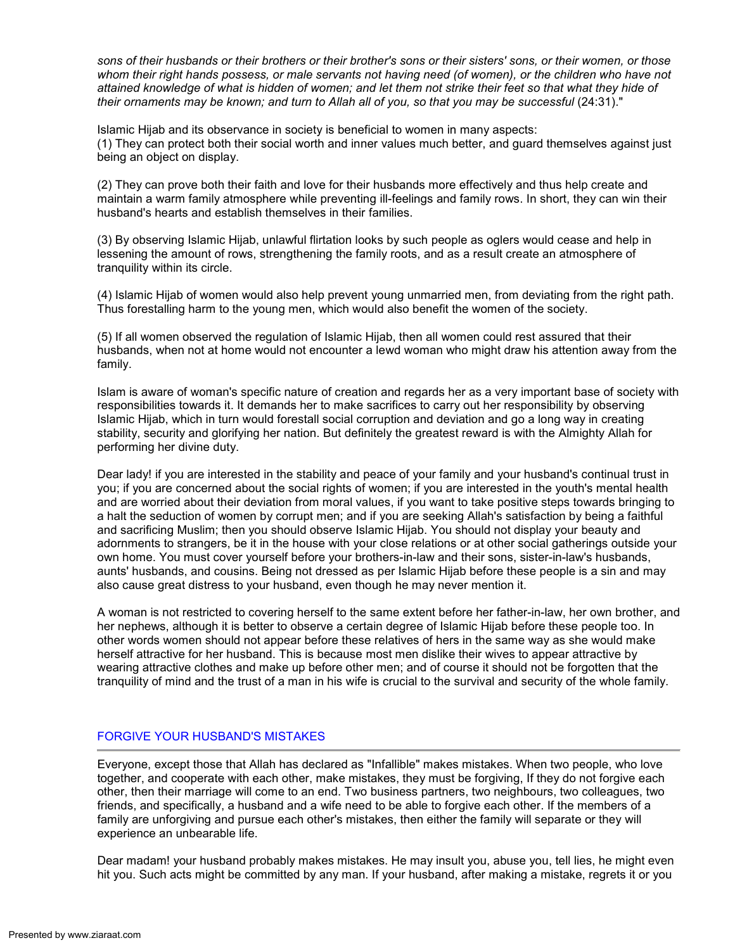sons of their husbands or their brothers or their brother's sons or their sisters' sons, or their women, or those whom their right hands possess, or male servants not having need (of women), or the children who have not attained knowledge of what is hidden of women; and let them not strike their feet so that what they hide of their ornaments may be known; and turn to Allah all of you, so that you may be successful (24:31)."

Islamic Hijab and its observance in society is beneficial to women in many aspects: (1) They can protect both their social worth and inner values much better, and guard themselves against just being an object on display.

(2) They can prove both their faith and love for their husbands more effectively and thus help create and maintain a warm family atmosphere while preventing ill-feelings and family rows. In short, they can win their husband's hearts and establish themselves in their families.

(3) By observing Islamic Hijab, unlawful flirtation looks by such people as oglers would cease and help in lessening the amount of rows, strengthening the family roots, and as a result create an atmosphere of tranquility within its circle.

(4) Islamic Hijab of women would also help prevent young unmarried men, from deviating from the right path. Thus forestalling harm to the young men, which would also benefit the women of the society.

(5) If all women observed the regulation of Islamic Hijab, then all women could rest assured that their husbands, when not at home would not encounter a lewd woman who might draw his attention away from the family.

Islam is aware of woman's specific nature of creation and regards her as a very important base of society with responsibilities towards it. It demands her to make sacrifices to carry out her responsibility by observing Islamic Hijab, which in turn would forestall social corruption and deviation and go a long way in creating stability, security and glorifying her nation. But definitely the greatest reward is with the Almighty Allah for performing her divine duty.

Dear lady! if you are interested in the stability and peace of your family and your husband's continual trust in you; if you are concerned about the social rights of women; if you are interested in the youth's mental health and are worried about their deviation from moral values, if you want to take positive steps towards bringing to a halt the seduction of women by corrupt men; and if you are seeking Allah's satisfaction by being a faithful and sacrificing Muslim; then you should observe Islamic Hijab. You should not display your beauty and adornments to strangers, be it in the house with your close relations or at other social gatherings outside your own home. You must cover yourself before your brothers-in-law and their sons, sister-in-law's husbands, aunts' husbands, and cousins. Being not dressed as per Islamic Hijab before these people is a sin and may also cause great distress to your husband, even though he may never mention it.

A woman is not restricted to covering herself to the same extent before her father-in-law, her own brother, and her nephews, although it is better to observe a certain degree of Islamic Hijab before these people too. In other words women should not appear before these relatives of hers in the same way as she would make herself attractive for her husband. This is because most men dislike their wives to appear attractive by wearing attractive clothes and make up before other men; and of course it should not be forgotten that the tranquility of mind and the trust of a man in his wife is crucial to the survival and security of the whole family.

# FORGIVE YOUR HUSBAND'S MISTAKES

Everyone, except those that Allah has declared as "Infallible" makes mistakes. When two people, who love together, and cooperate with each other, make mistakes, they must be forgiving, If they do not forgive each other, then their marriage will come to an end. Two business partners, two neighbours, two colleagues, two friends, and specifically, a husband and a wife need to be able to forgive each other. If the members of a family are unforgiving and pursue each other's mistakes, then either the family will separate or they will experience an unbearable life.

Dear madam! your husband probably makes mistakes. He may insult you, abuse you, tell lies, he might even hit you. Such acts might be committed by any man. If your husband, after making a mistake, regrets it or you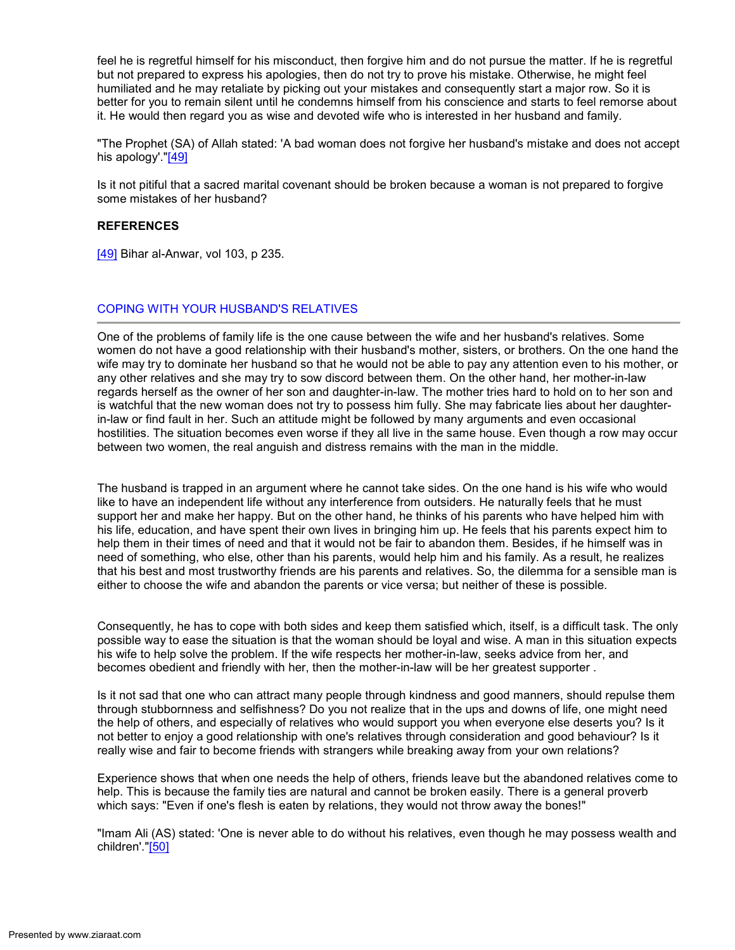feel he is regretful himself for his misconduct, then forgive him and do not pursue the matter. If he is regretful but not prepared to express his apologies, then do not try to prove his mistake. Otherwise, he might feel humiliated and he may retaliate by picking out your mistakes and consequently start a major row. So it is better for you to remain silent until he condemns himself from his conscience and starts to feel remorse about it. He would then regard you as wise and devoted wife who is interested in her husband and family.

"The Prophet (SA) of Allah stated: 'A bad woman does not forgive her husband's mistake and does not accept his apology'."[49]

Is it not pitiful that a sacred marital covenant should be broken because a woman is not prepared to forgive some mistakes of her husband?

# **REFERENCES**

[49] Bihar al-Anwar, vol 103, p 235.

# COPING WITH YOUR HUSBAND'S RELATIVES

One of the problems of family life is the one cause between the wife and her husband's relatives. Some women do not have a good relationship with their husband's mother, sisters, or brothers. On the one hand the wife may try to dominate her husband so that he would not be able to pay any attention even to his mother, or any other relatives and she may try to sow discord between them. On the other hand, her mother-in-law regards herself as the owner of her son and daughter-in-law. The mother tries hard to hold on to her son and is watchful that the new woman does not try to possess him fully. She may fabricate lies about her daughterin-law or find fault in her. Such an attitude might be followed by many arguments and even occasional hostilities. The situation becomes even worse if they all live in the same house. Even though a row may occur between two women, the real anguish and distress remains with the man in the middle.

The husband is trapped in an argument where he cannot take sides. On the one hand is his wife who would like to have an independent life without any interference from outsiders. He naturally feels that he must support her and make her happy. But on the other hand, he thinks of his parents who have helped him with his life, education, and have spent their own lives in bringing him up. He feels that his parents expect him to help them in their times of need and that it would not be fair to abandon them. Besides, if he himself was in need of something, who else, other than his parents, would help him and his family. As a result, he realizes that his best and most trustworthy friends are his parents and relatives. So, the dilemma for a sensible man is either to choose the wife and abandon the parents or vice versa; but neither of these is possible.

Consequently, he has to cope with both sides and keep them satisfied which, itself, is a difficult task. The only possible way to ease the situation is that the woman should be loyal and wise. A man in this situation expects his wife to help solve the problem. If the wife respects her mother-in-law, seeks advice from her, and becomes obedient and friendly with her, then the mother-in-law will be her greatest supporter .

Is it not sad that one who can attract many people through kindness and good manners, should repulse them through stubbornness and selfishness? Do you not realize that in the ups and downs of life, one might need the help of others, and especially of relatives who would support you when everyone else deserts you? Is it not better to enjoy a good relationship with one's relatives through consideration and good behaviour? Is it really wise and fair to become friends with strangers while breaking away from your own relations?

Experience shows that when one needs the help of others, friends leave but the abandoned relatives come to help. This is because the family ties are natural and cannot be broken easily. There is a general proverb which says: "Even if one's flesh is eaten by relations, they would not throw away the bones!"

"Imam Ali (AS) stated: 'One is never able to do without his relatives, even though he may possess wealth and children'."[50]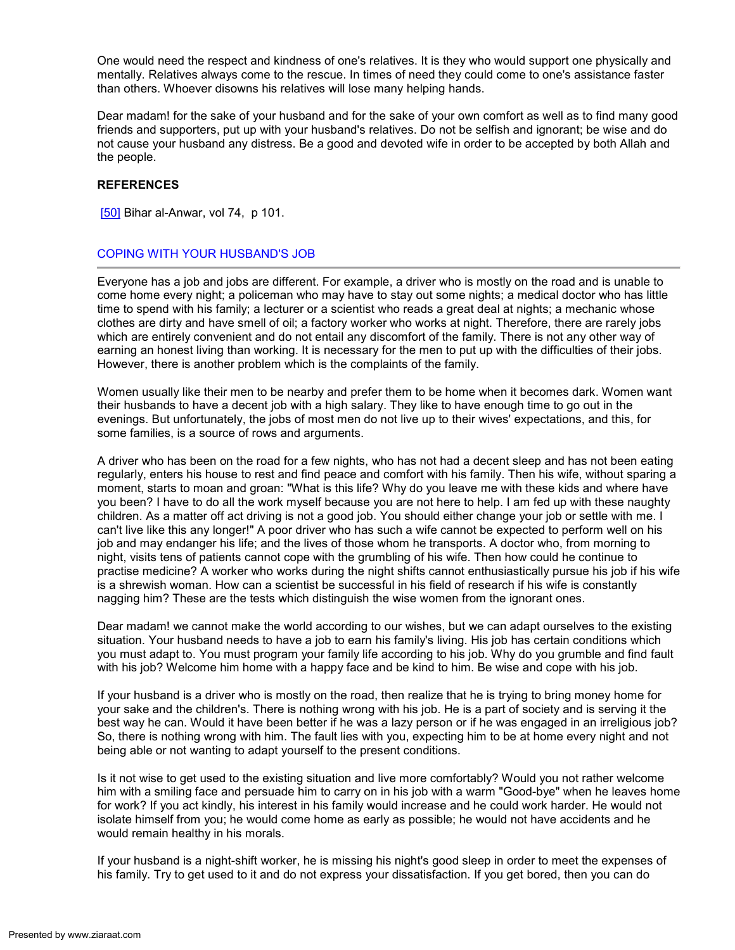One would need the respect and kindness of one's relatives. It is they who would support one physically and mentally. Relatives always come to the rescue. In times of need they could come to one's assistance faster than others. Whoever disowns his relatives will lose many helping hands.

Dear madam! for the sake of your husband and for the sake of your own comfort as well as to find many good friends and supporters, put up with your husband's relatives. Do not be selfish and ignorant; be wise and do not cause your husband any distress. Be a good and devoted wife in order to be accepted by both Allah and the people.

### **REFERENCES**

[50] Bihar al-Anwar, vol 74, p 101.

# COPING WITH YOUR HUSBAND'S JOB

Everyone has a job and jobs are different. For example, a driver who is mostly on the road and is unable to come home every night; a policeman who may have to stay out some nights; a medical doctor who has little time to spend with his family; a lecturer or a scientist who reads a great deal at nights; a mechanic whose clothes are dirty and have smell of oil; a factory worker who works at night. Therefore, there are rarely jobs which are entirely convenient and do not entail any discomfort of the family. There is not any other way of earning an honest living than working. It is necessary for the men to put up with the difficulties of their jobs. However, there is another problem which is the complaints of the family.

Women usually like their men to be nearby and prefer them to be home when it becomes dark. Women want their husbands to have a decent job with a high salary. They like to have enough time to go out in the evenings. But unfortunately, the jobs of most men do not live up to their wives' expectations, and this, for some families, is a source of rows and arguments.

A driver who has been on the road for a few nights, who has not had a decent sleep and has not been eating regularly, enters his house to rest and find peace and comfort with his family. Then his wife, without sparing a moment, starts to moan and groan: "What is this life? Why do you leave me with these kids and where have you been? I have to do all the work myself because you are not here to help. I am fed up with these naughty children. As a matter off act driving is not a good job. You should either change your job or settle with me. I can't live like this any longer!" A poor driver who has such a wife cannot be expected to perform well on his job and may endanger his life; and the lives of those whom he transports. A doctor who, from morning to night, visits tens of patients cannot cope with the grumbling of his wife. Then how could he continue to practise medicine? A worker who works during the night shifts cannot enthusiastically pursue his job if his wife is a shrewish woman. How can a scientist be successful in his field of research if his wife is constantly nagging him? These are the tests which distinguish the wise women from the ignorant ones.

Dear madam! we cannot make the world according to our wishes, but we can adapt ourselves to the existing situation. Your husband needs to have a job to earn his family's living. His job has certain conditions which you must adapt to. You must program your family life according to his job. Why do you grumble and find fault with his job? Welcome him home with a happy face and be kind to him. Be wise and cope with his job.

If your husband is a driver who is mostly on the road, then realize that he is trying to bring money home for your sake and the children's. There is nothing wrong with his job. He is a part of society and is serving it the best way he can. Would it have been better if he was a lazy person or if he was engaged in an irreligious job? So, there is nothing wrong with him. The fault lies with you, expecting him to be at home every night and not being able or not wanting to adapt yourself to the present conditions.

Is it not wise to get used to the existing situation and live more comfortably? Would you not rather welcome him with a smiling face and persuade him to carry on in his job with a warm "Good-bye" when he leaves home for work? If you act kindly, his interest in his family would increase and he could work harder. He would not isolate himself from you; he would come home as early as possible; he would not have accidents and he would remain healthy in his morals.

If your husband is a night-shift worker, he is missing his night's good sleep in order to meet the expenses of his family. Try to get used to it and do not express your dissatisfaction. If you get bored, then you can do